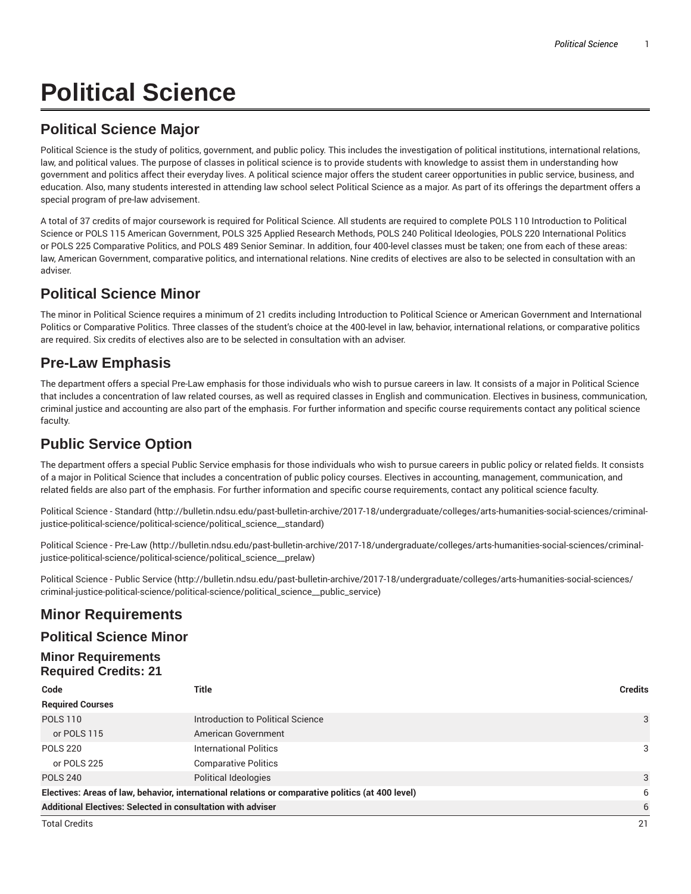# **Political Science**

## **Political Science Major**

Political Science is the study of politics, government, and public policy. This includes the investigation of political institutions, international relations, law, and political values. The purpose of classes in political science is to provide students with knowledge to assist them in understanding how government and politics affect their everyday lives. A political science major offers the student career opportunities in public service, business, and education. Also, many students interested in attending law school select Political Science as a major. As part of its offerings the department offers a special program of pre-law advisement.

A total of 37 credits of major coursework is required for Political Science. All students are required to complete POLS 110 Introduction to Political Science or POLS 115 American Government, POLS 325 Applied Research Methods, POLS 240 Political Ideologies, POLS 220 International Politics or POLS 225 Comparative Politics, and POLS 489 Senior Seminar. In addition, four 400-level classes must be taken; one from each of these areas: law, American Government, comparative politics, and international relations. Nine credits of electives are also to be selected in consultation with an adviser.

#### **Political Science Minor**

The minor in Political Science requires a minimum of 21 credits including Introduction to Political Science or American Government and International Politics or Comparative Politics. Three classes of the student's choice at the 400-level in law, behavior, international relations, or comparative politics are required. Six credits of electives also are to be selected in consultation with an adviser.

# **Pre-Law Emphasis**

The department offers a special Pre-Law emphasis for those individuals who wish to pursue careers in law. It consists of a major in Political Science that includes a concentration of law related courses, as well as required classes in English and communication. Electives in business, communication, criminal justice and accounting are also part of the emphasis. For further information and specific course requirements contact any political science faculty.

## **Public Service Option**

The department offers a special Public Service emphasis for those individuals who wish to pursue careers in public policy or related fields. It consists of a major in Political Science that includes a concentration of public policy courses. Electives in accounting, management, communication, and related fields are also part of the emphasis. For further information and specific course requirements, contact any political science faculty.

Political Science - Standard (http://bulletin.ndsu.edu/past-bulletin-archive/2017-18/undergraduate/colleges/arts-humanities-social-sciences/criminaljustice-political-science/political-science/political\_science\_\_standard)

Political Science - Pre-Law (http://bulletin.ndsu.edu/past-bulletin-archive/2017-18/undergraduate/colleges/arts-humanities-social-sciences/criminaljustice-political-science/political-science/political\_science\_\_prelaw)

Political Science - Public Service (http://bulletin.ndsu.edu/past-bulletin-archive/2017-18/undergraduate/colleges/arts-humanities-social-sciences/ criminal-justice-political-science/political-science/political\_science\_\_public\_service)

#### **Minor Requirements**

#### **Political Science Minor**

#### **Minor Requirements Required Credits: 21**

| Code                                                                                              | Title                             | <b>Credits</b> |
|---------------------------------------------------------------------------------------------------|-----------------------------------|----------------|
| <b>Required Courses</b>                                                                           |                                   |                |
| <b>POLS 110</b>                                                                                   | Introduction to Political Science | 3              |
| or POLS 115                                                                                       | American Government               |                |
| <b>POLS 220</b>                                                                                   | <b>International Politics</b>     | 3              |
| or POLS 225                                                                                       | <b>Comparative Politics</b>       |                |
| <b>POLS 240</b>                                                                                   | Political Ideologies              | 3              |
| Electives: Areas of law, behavior, international relations or comparative politics (at 400 level) |                                   | 6              |
| Additional Electives: Selected in consultation with adviser                                       |                                   | 6              |
| <b>Total Credits</b>                                                                              |                                   | 21             |